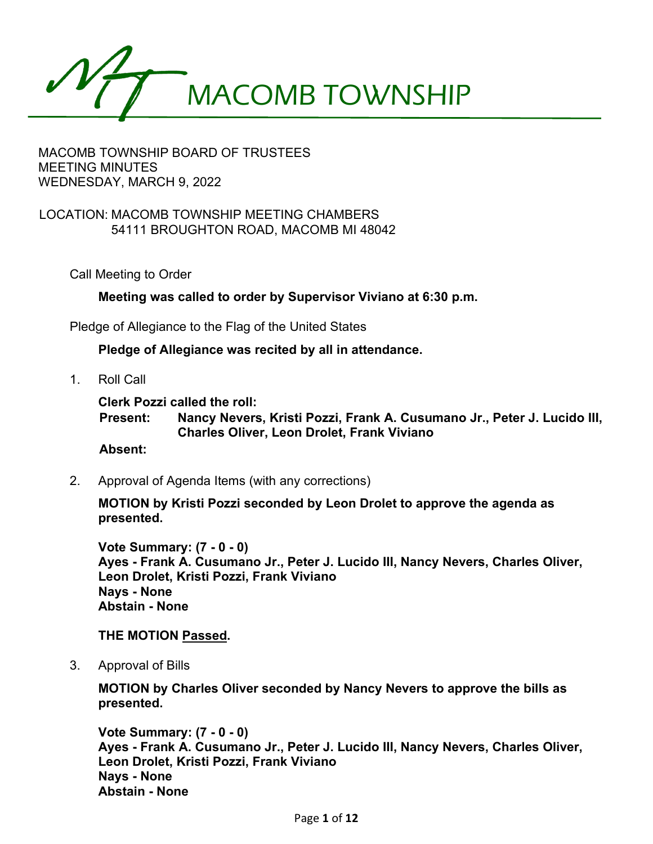

## MACOMB TOWNSHIP BOARD OF TRUSTEES MEETING MINUTES WEDNESDAY, MARCH 9, 2022

### LOCATION: MACOMB TOWNSHIP MEETING CHAMBERS 54111 BROUGHTON ROAD, MACOMB MI 48042

Call Meeting to Order

**Meeting was called to order by Supervisor Viviano at 6:30 p.m.**

Pledge of Allegiance to the Flag of the United States

**Pledge of Allegiance was recited by all in attendance.**

1. Roll Call

**Clerk Pozzi called the roll:**

**Present: Nancy Nevers, Kristi Pozzi, Frank A. Cusumano Jr., Peter J. Lucido III, Charles Oliver, Leon Drolet, Frank Viviano**

#### **Absent:**

2. Approval of Agenda Items (with any corrections)

**MOTION by Kristi Pozzi seconded by Leon Drolet to approve the agenda as presented.**

**Vote Summary: (7 - 0 - 0) Ayes - Frank A. Cusumano Jr., Peter J. Lucido III, Nancy Nevers, Charles Oliver, Leon Drolet, Kristi Pozzi, Frank Viviano Nays - None Abstain - None**

#### **THE MOTION Passed.**

3. Approval of Bills

**MOTION by Charles Oliver seconded by Nancy Nevers to approve the bills as presented.** 

**Vote Summary: (7 - 0 - 0) Ayes - Frank A. Cusumano Jr., Peter J. Lucido III, Nancy Nevers, Charles Oliver, Leon Drolet, Kristi Pozzi, Frank Viviano Nays - None Abstain - None**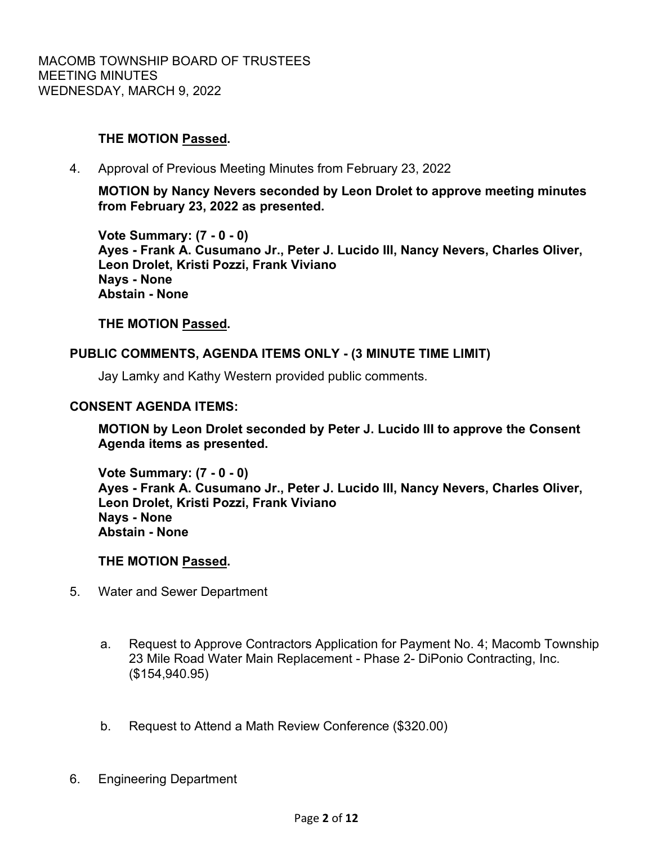## **THE MOTION Passed.**

4. Approval of Previous Meeting Minutes from February 23, 2022

**MOTION by Nancy Nevers seconded by Leon Drolet to approve meeting minutes from February 23, 2022 as presented.**

**Vote Summary: (7 - 0 - 0) Ayes - Frank A. Cusumano Jr., Peter J. Lucido III, Nancy Nevers, Charles Oliver, Leon Drolet, Kristi Pozzi, Frank Viviano Nays - None Abstain - None**

### **THE MOTION Passed.**

### **PUBLIC COMMENTS, AGENDA ITEMS ONLY - (3 MINUTE TIME LIMIT)**

Jay Lamky and Kathy Western provided public comments.

#### **CONSENT AGENDA ITEMS:**

**MOTION by Leon Drolet seconded by Peter J. Lucido III to approve the Consent Agenda items as presented.** 

**Vote Summary: (7 - 0 - 0) Ayes - Frank A. Cusumano Jr., Peter J. Lucido III, Nancy Nevers, Charles Oliver, Leon Drolet, Kristi Pozzi, Frank Viviano Nays - None Abstain - None**

#### **THE MOTION Passed.**

- 5. Water and Sewer Department
	- a. Request to Approve Contractors Application for Payment No. 4; Macomb Township 23 Mile Road Water Main Replacement - Phase 2- DiPonio Contracting, Inc. (\$154,940.95)
	- b. Request to Attend a Math Review Conference (\$320.00)
- 6. Engineering Department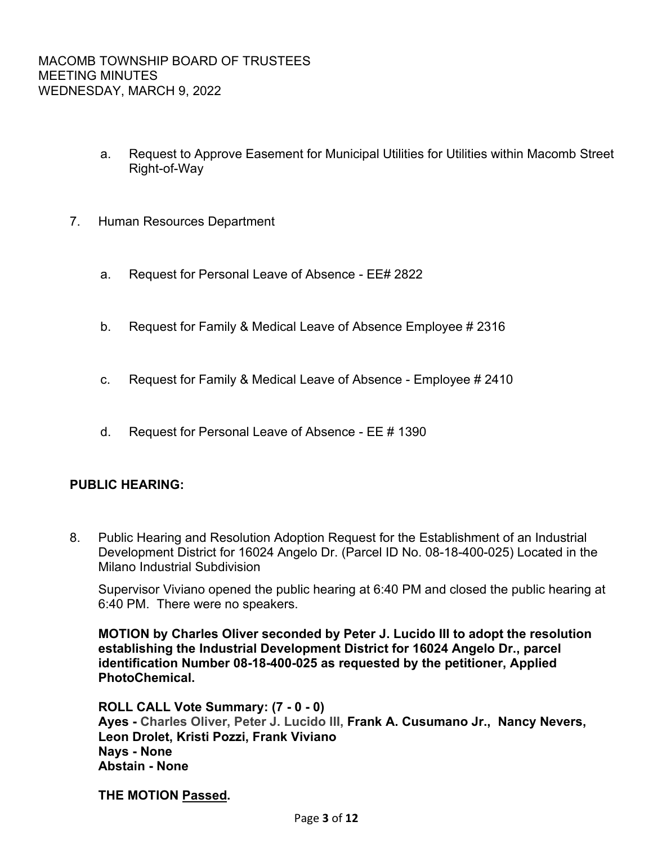- a. Request to Approve Easement for Municipal Utilities for Utilities within Macomb Street Right-of-Way
- 7. Human Resources Department
	- a. Request for Personal Leave of Absence EE# 2822
	- b. Request for Family & Medical Leave of Absence Employee # 2316
	- c. Request for Family & Medical Leave of Absence Employee # 2410
	- d. Request for Personal Leave of Absence EE # 1390

## **PUBLIC HEARING:**

8. Public Hearing and Resolution Adoption Request for the Establishment of an Industrial Development District for 16024 Angelo Dr. (Parcel ID No. 08-18-400-025) Located in the Milano Industrial Subdivision

Supervisor Viviano opened the public hearing at 6:40 PM and closed the public hearing at 6:40 PM. There were no speakers.

**MOTION by Charles Oliver seconded by Peter J. Lucido III to adopt the resolution establishing the Industrial Development District for 16024 Angelo Dr., parcel identification Number 08-18-400-025 as requested by the petitioner, Applied PhotoChemical.**

**ROLL CALL Vote Summary: (7 - 0 - 0) Ayes - Charles Oliver, Peter J. Lucido III, Frank A. Cusumano Jr., Nancy Nevers, Leon Drolet, Kristi Pozzi, Frank Viviano Nays - None Abstain - None**

**THE MOTION Passed.**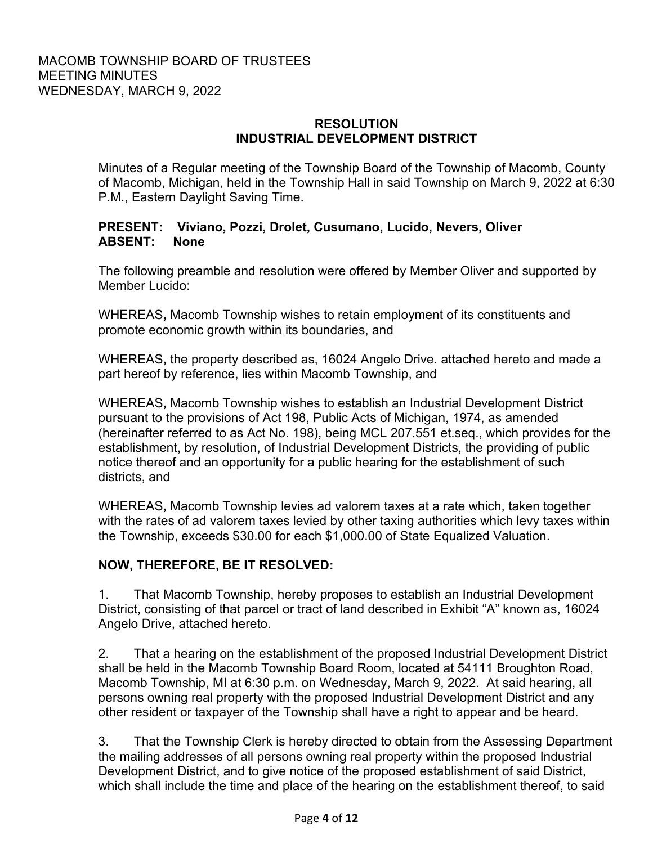## **RESOLUTION INDUSTRIAL DEVELOPMENT DISTRICT**

Minutes of a Regular meeting of the Township Board of the Township of Macomb, County of Macomb, Michigan, held in the Township Hall in said Township on March 9, 2022 at 6:30 P.M., Eastern Daylight Saving Time.

## **PRESENT: Viviano, Pozzi, Drolet, Cusumano, Lucido, Nevers, Oliver ABSENT: None**

The following preamble and resolution were offered by Member Oliver and supported by Member Lucido:

WHEREAS**,** Macomb Township wishes to retain employment of its constituents and promote economic growth within its boundaries, and

WHEREAS**,** the property described as, 16024 Angelo Drive. attached hereto and made a part hereof by reference, lies within Macomb Township, and

WHEREAS**,** Macomb Township wishes to establish an Industrial Development District pursuant to the provisions of Act 198, Public Acts of Michigan, 1974, as amended (hereinafter referred to as Act No. 198), being MCL 207.551 et.seq., which provides for the establishment, by resolution, of Industrial Development Districts, the providing of public notice thereof and an opportunity for a public hearing for the establishment of such districts, and

WHEREAS**,** Macomb Township levies ad valorem taxes at a rate which, taken together with the rates of ad valorem taxes levied by other taxing authorities which levy taxes within the Township, exceeds \$30.00 for each \$1,000.00 of State Equalized Valuation.

# **NOW, THEREFORE, BE IT RESOLVED:**

1. That Macomb Township, hereby proposes to establish an Industrial Development District, consisting of that parcel or tract of land described in Exhibit "A" known as, 16024 Angelo Drive, attached hereto.

2. That a hearing on the establishment of the proposed Industrial Development District shall be held in the Macomb Township Board Room, located at 54111 Broughton Road, Macomb Township, MI at 6:30 p.m. on Wednesday, March 9, 2022. At said hearing, all persons owning real property with the proposed Industrial Development District and any other resident or taxpayer of the Township shall have a right to appear and be heard.

3. That the Township Clerk is hereby directed to obtain from the Assessing Department the mailing addresses of all persons owning real property within the proposed Industrial Development District, and to give notice of the proposed establishment of said District, which shall include the time and place of the hearing on the establishment thereof, to said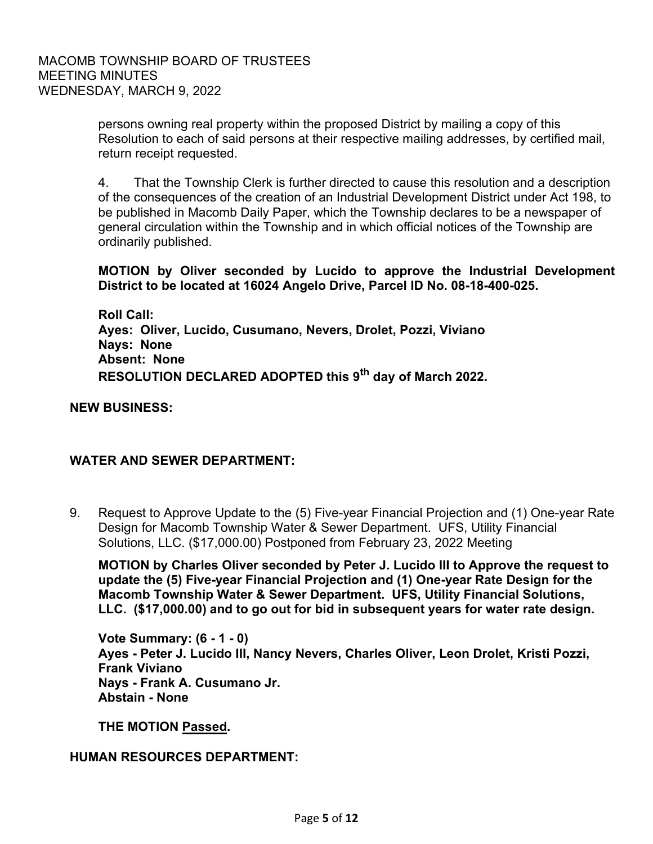persons owning real property within the proposed District by mailing a copy of this Resolution to each of said persons at their respective mailing addresses, by certified mail, return receipt requested.

4. That the Township Clerk is further directed to cause this resolution and a description of the consequences of the creation of an Industrial Development District under Act 198, to be published in Macomb Daily Paper, which the Township declares to be a newspaper of general circulation within the Township and in which official notices of the Township are ordinarily published.

### **MOTION by Oliver seconded by Lucido to approve the Industrial Development District to be located at 16024 Angelo Drive, Parcel ID No. 08-18-400-025.**

**Roll Call: Ayes: Oliver, Lucido, Cusumano, Nevers, Drolet, Pozzi, Viviano Nays: None Absent: None RESOLUTION DECLARED ADOPTED this 9th day of March 2022.**

**NEW BUSINESS:**

## **WATER AND SEWER DEPARTMENT:**

9. Request to Approve Update to the (5) Five-year Financial Projection and (1) One-year Rate Design for Macomb Township Water & Sewer Department. UFS, Utility Financial Solutions, LLC. (\$17,000.00) Postponed from February 23, 2022 Meeting

**MOTION by Charles Oliver seconded by Peter J. Lucido III to Approve the request to update the (5) Five-year Financial Projection and (1) One-year Rate Design for the Macomb Township Water & Sewer Department. UFS, Utility Financial Solutions, LLC. (\$17,000.00) and to go out for bid in subsequent years for water rate design.**

**Vote Summary: (6 - 1 - 0) Ayes - Peter J. Lucido III, Nancy Nevers, Charles Oliver, Leon Drolet, Kristi Pozzi, Frank Viviano Nays - Frank A. Cusumano Jr. Abstain - None**

**THE MOTION Passed.**

#### **HUMAN RESOURCES DEPARTMENT:**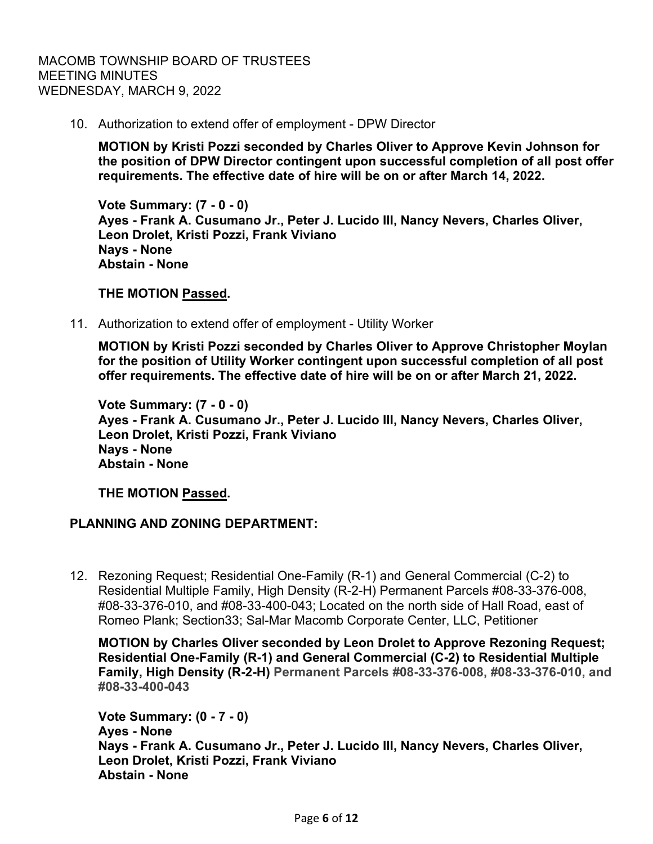10. Authorization to extend offer of employment - DPW Director

**MOTION by Kristi Pozzi seconded by Charles Oliver to Approve Kevin Johnson for the position of DPW Director contingent upon successful completion of all post offer requirements. The effective date of hire will be on or after March 14, 2022.** 

**Vote Summary: (7 - 0 - 0) Ayes - Frank A. Cusumano Jr., Peter J. Lucido III, Nancy Nevers, Charles Oliver, Leon Drolet, Kristi Pozzi, Frank Viviano Nays - None Abstain - None**

### **THE MOTION Passed.**

11. Authorization to extend offer of employment - Utility Worker

**MOTION by Kristi Pozzi seconded by Charles Oliver to Approve Christopher Moylan for the position of Utility Worker contingent upon successful completion of all post offer requirements. The effective date of hire will be on or after March 21, 2022.** 

**Vote Summary: (7 - 0 - 0) Ayes - Frank A. Cusumano Jr., Peter J. Lucido III, Nancy Nevers, Charles Oliver, Leon Drolet, Kristi Pozzi, Frank Viviano Nays - None Abstain - None**

**THE MOTION Passed.**

# **PLANNING AND ZONING DEPARTMENT:**

12. Rezoning Request; Residential One-Family (R-1) and General Commercial (C-2) to Residential Multiple Family, High Density (R-2-H) Permanent Parcels #08-33-376-008, #08-33-376-010, and #08-33-400-043; Located on the north side of Hall Road, east of Romeo Plank; Section33; Sal-Mar Macomb Corporate Center, LLC, Petitioner

**MOTION by Charles Oliver seconded by Leon Drolet to Approve Rezoning Request; Residential One-Family (R-1) and General Commercial (C-2) to Residential Multiple Family, High Density (R-2-H) Permanent Parcels #08-33-376-008, #08-33-376-010, and #08-33-400-043** 

**Vote Summary: (0 - 7 - 0) Ayes - None Nays - Frank A. Cusumano Jr., Peter J. Lucido III, Nancy Nevers, Charles Oliver, Leon Drolet, Kristi Pozzi, Frank Viviano Abstain - None**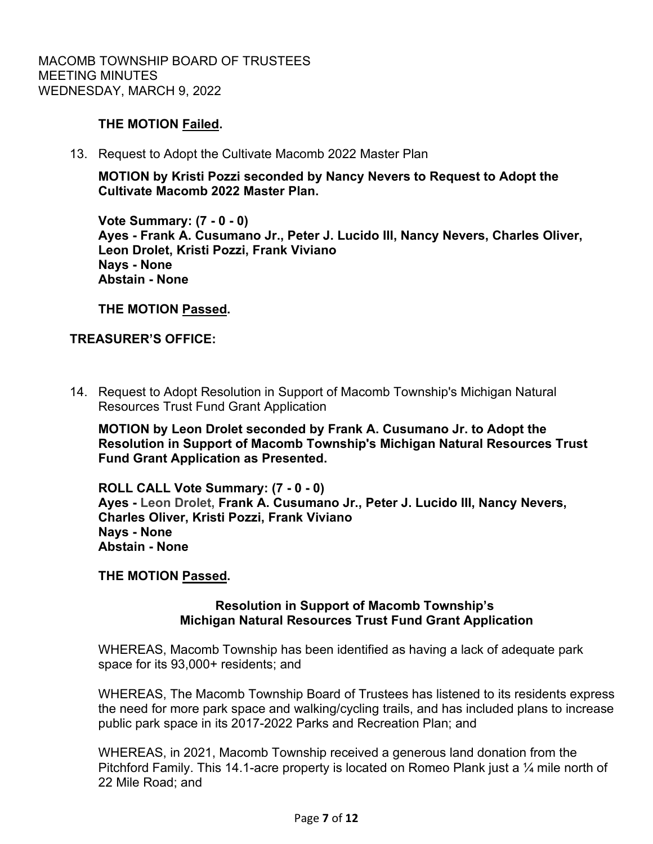## **THE MOTION Failed.**

13. Request to Adopt the Cultivate Macomb 2022 Master Plan

**MOTION by Kristi Pozzi seconded by Nancy Nevers to Request to Adopt the Cultivate Macomb 2022 Master Plan.**

**Vote Summary: (7 - 0 - 0) Ayes - Frank A. Cusumano Jr., Peter J. Lucido III, Nancy Nevers, Charles Oliver, Leon Drolet, Kristi Pozzi, Frank Viviano Nays - None Abstain - None**

**THE MOTION Passed.**

## **TREASURER'S OFFICE:**

 14. Request to Adopt Resolution in Support of Macomb Township's Michigan Natural Resources Trust Fund Grant Application

**MOTION by Leon Drolet seconded by Frank A. Cusumano Jr. to Adopt the Resolution in Support of Macomb Township's Michigan Natural Resources Trust Fund Grant Application as Presented.**

**ROLL CALL Vote Summary: (7 - 0 - 0) Ayes - Leon Drolet, Frank A. Cusumano Jr., Peter J. Lucido III, Nancy Nevers, Charles Oliver, Kristi Pozzi, Frank Viviano Nays - None Abstain - None**

## **THE MOTION Passed.**

## **Resolution in Support of Macomb Township's Michigan Natural Resources Trust Fund Grant Application**

WHEREAS, Macomb Township has been identified as having a lack of adequate park space for its 93,000+ residents; and

WHEREAS, The Macomb Township Board of Trustees has listened to its residents express the need for more park space and walking/cycling trails, and has included plans to increase public park space in its 2017-2022 Parks and Recreation Plan; and

WHEREAS, in 2021, Macomb Township received a generous land donation from the Pitchford Family. This 14.1-acre property is located on Romeo Plank just a ¼ mile north of 22 Mile Road; and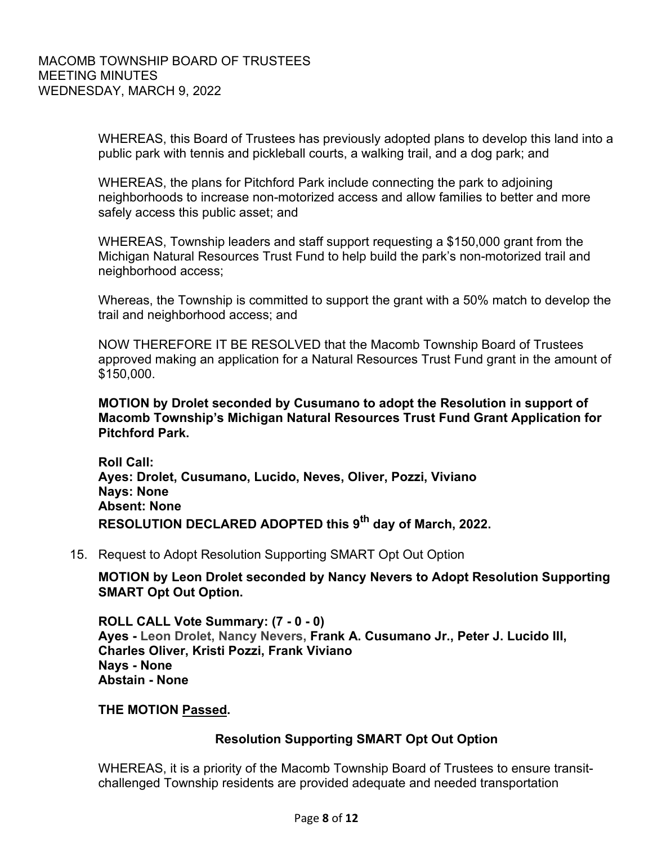WHEREAS, this Board of Trustees has previously adopted plans to develop this land into a public park with tennis and pickleball courts, a walking trail, and a dog park; and

WHEREAS, the plans for Pitchford Park include connecting the park to adjoining neighborhoods to increase non-motorized access and allow families to better and more safely access this public asset; and

WHEREAS, Township leaders and staff support requesting a \$150,000 grant from the Michigan Natural Resources Trust Fund to help build the park's non-motorized trail and neighborhood access;

Whereas, the Township is committed to support the grant with a 50% match to develop the trail and neighborhood access; and

NOW THEREFORE IT BE RESOLVED that the Macomb Township Board of Trustees approved making an application for a Natural Resources Trust Fund grant in the amount of \$150,000.

**MOTION by Drolet seconded by Cusumano to adopt the Resolution in support of Macomb Township's Michigan Natural Resources Trust Fund Grant Application for Pitchford Park.**

**Roll Call: Ayes: Drolet, Cusumano, Lucido, Neves, Oliver, Pozzi, Viviano Nays: None Absent: None RESOLUTION DECLARED ADOPTED this 9th day of March, 2022.**

15. Request to Adopt Resolution Supporting SMART Opt Out Option

**MOTION by Leon Drolet seconded by Nancy Nevers to Adopt Resolution Supporting SMART Opt Out Option.**

**ROLL CALL Vote Summary: (7 - 0 - 0) Ayes - Leon Drolet, Nancy Nevers, Frank A. Cusumano Jr., Peter J. Lucido III, Charles Oliver, Kristi Pozzi, Frank Viviano Nays - None Abstain - None**

#### **THE MOTION Passed.**

## **Resolution Supporting SMART Opt Out Option**

WHEREAS, it is a priority of the Macomb Township Board of Trustees to ensure transitchallenged Township residents are provided adequate and needed transportation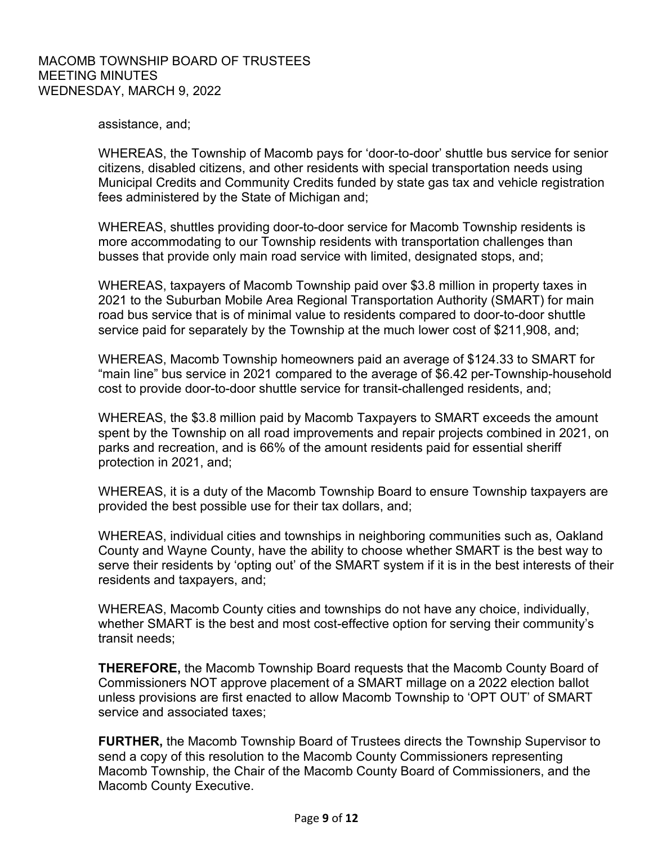assistance, and;

WHEREAS, the Township of Macomb pays for 'door-to-door' shuttle bus service for senior citizens, disabled citizens, and other residents with special transportation needs using Municipal Credits and Community Credits funded by state gas tax and vehicle registration fees administered by the State of Michigan and;

WHEREAS, shuttles providing door-to-door service for Macomb Township residents is more accommodating to our Township residents with transportation challenges than busses that provide only main road service with limited, designated stops, and;

WHEREAS, taxpayers of Macomb Township paid over \$3.8 million in property taxes in 2021 to the Suburban Mobile Area Regional Transportation Authority (SMART) for main road bus service that is of minimal value to residents compared to door-to-door shuttle service paid for separately by the Township at the much lower cost of \$211,908, and;

WHEREAS, Macomb Township homeowners paid an average of \$124.33 to SMART for "main line" bus service in 2021 compared to the average of \$6.42 per-Township-household cost to provide door-to-door shuttle service for transit-challenged residents, and;

WHEREAS, the \$3.8 million paid by Macomb Taxpayers to SMART exceeds the amount spent by the Township on all road improvements and repair projects combined in 2021, on parks and recreation, and is 66% of the amount residents paid for essential sheriff protection in 2021, and;

WHEREAS, it is a duty of the Macomb Township Board to ensure Township taxpayers are provided the best possible use for their tax dollars, and;

WHEREAS, individual cities and townships in neighboring communities such as, Oakland County and Wayne County, have the ability to choose whether SMART is the best way to serve their residents by 'opting out' of the SMART system if it is in the best interests of their residents and taxpayers, and;

WHEREAS, Macomb County cities and townships do not have any choice, individually, whether SMART is the best and most cost-effective option for serving their community's transit needs;

**THEREFORE,** the Macomb Township Board requests that the Macomb County Board of Commissioners NOT approve placement of a SMART millage on a 2022 election ballot unless provisions are first enacted to allow Macomb Township to 'OPT OUT' of SMART service and associated taxes:

**FURTHER,** the Macomb Township Board of Trustees directs the Township Supervisor to send a copy of this resolution to the Macomb County Commissioners representing Macomb Township, the Chair of the Macomb County Board of Commissioners, and the Macomb County Executive.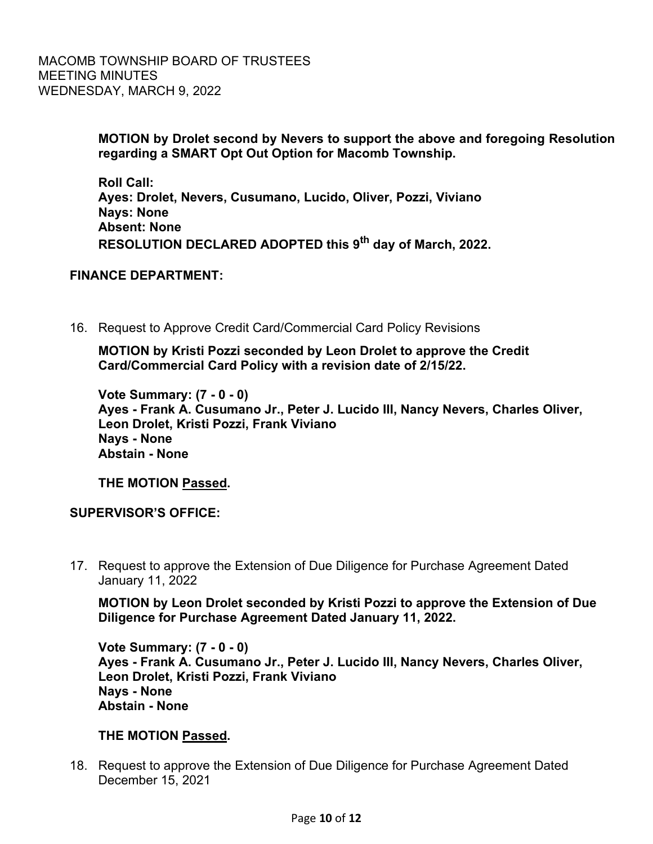**MOTION by Drolet second by Nevers to support the above and foregoing Resolution regarding a SMART Opt Out Option for Macomb Township.**

**Roll Call: Ayes: Drolet, Nevers, Cusumano, Lucido, Oliver, Pozzi, Viviano Nays: None Absent: None RESOLUTION DECLARED ADOPTED this 9th day of March, 2022.**

### **FINANCE DEPARTMENT:**

16. Request to Approve Credit Card/Commercial Card Policy Revisions

**MOTION by Kristi Pozzi seconded by Leon Drolet to approve the Credit Card/Commercial Card Policy with a revision date of 2/15/22.**

**Vote Summary: (7 - 0 - 0) Ayes - Frank A. Cusumano Jr., Peter J. Lucido III, Nancy Nevers, Charles Oliver, Leon Drolet, Kristi Pozzi, Frank Viviano Nays - None Abstain - None**

**THE MOTION Passed.**

#### **SUPERVISOR'S OFFICE:**

 17. Request to approve the Extension of Due Diligence for Purchase Agreement Dated January 11, 2022

**MOTION by Leon Drolet seconded by Kristi Pozzi to approve the Extension of Due Diligence for Purchase Agreement Dated January 11, 2022.**

**Vote Summary: (7 - 0 - 0) Ayes - Frank A. Cusumano Jr., Peter J. Lucido III, Nancy Nevers, Charles Oliver, Leon Drolet, Kristi Pozzi, Frank Viviano Nays - None Abstain - None**

## **THE MOTION Passed.**

 18. Request to approve the Extension of Due Diligence for Purchase Agreement Dated December 15, 2021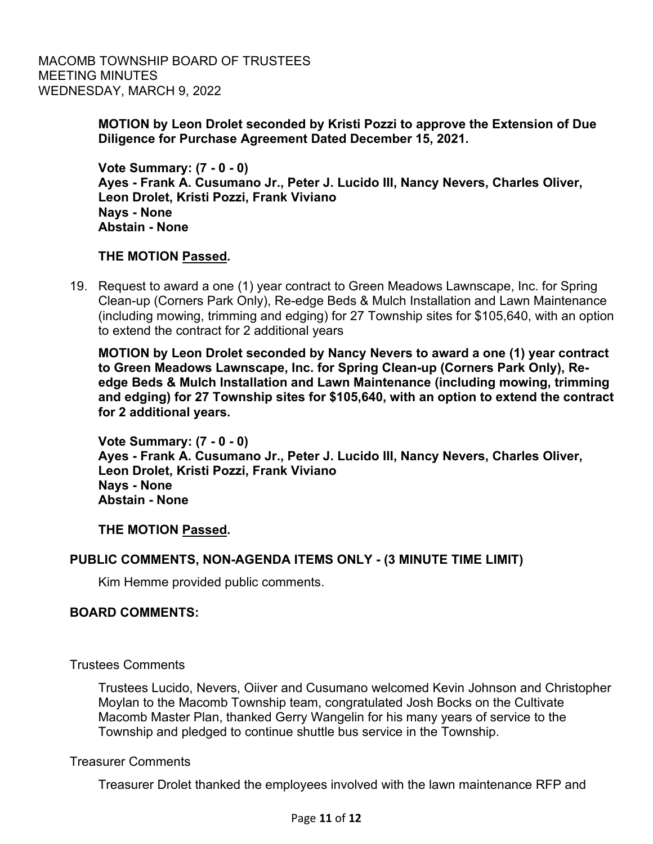MACOMB TOWNSHIP BOARD OF TRUSTEES MEETING MINUTES WEDNESDAY, MARCH 9, 2022

### **MOTION by Leon Drolet seconded by Kristi Pozzi to approve the Extension of Due Diligence for Purchase Agreement Dated December 15, 2021.**

**Vote Summary: (7 - 0 - 0) Ayes - Frank A. Cusumano Jr., Peter J. Lucido III, Nancy Nevers, Charles Oliver, Leon Drolet, Kristi Pozzi, Frank Viviano Nays - None Abstain - None**

### **THE MOTION Passed.**

19. Request to award a one (1) year contract to Green Meadows Lawnscape, Inc. for Spring Clean-up (Corners Park Only), Re-edge Beds & Mulch Installation and Lawn Maintenance (including mowing, trimming and edging) for 27 Township sites for \$105,640, with an option to extend the contract for 2 additional years

**MOTION by Leon Drolet seconded by Nancy Nevers to award a one (1) year contract to Green Meadows Lawnscape, Inc. for Spring Clean-up (Corners Park Only), Reedge Beds & Mulch Installation and Lawn Maintenance (including mowing, trimming and edging) for 27 Township sites for \$105,640, with an option to extend the contract for 2 additional years.**

**Vote Summary: (7 - 0 - 0) Ayes - Frank A. Cusumano Jr., Peter J. Lucido III, Nancy Nevers, Charles Oliver, Leon Drolet, Kristi Pozzi, Frank Viviano Nays - None Abstain - None**

**THE MOTION Passed.**

## **PUBLIC COMMENTS, NON-AGENDA ITEMS ONLY - (3 MINUTE TIME LIMIT)**

Kim Hemme provided public comments.

## **BOARD COMMENTS:**

Trustees Comments

Trustees Lucido, Nevers, Oiiver and Cusumano welcomed Kevin Johnson and Christopher Moylan to the Macomb Township team, congratulated Josh Bocks on the Cultivate Macomb Master Plan, thanked Gerry Wangelin for his many years of service to the Township and pledged to continue shuttle bus service in the Township.

#### Treasurer Comments

Treasurer Drolet thanked the employees involved with the lawn maintenance RFP and